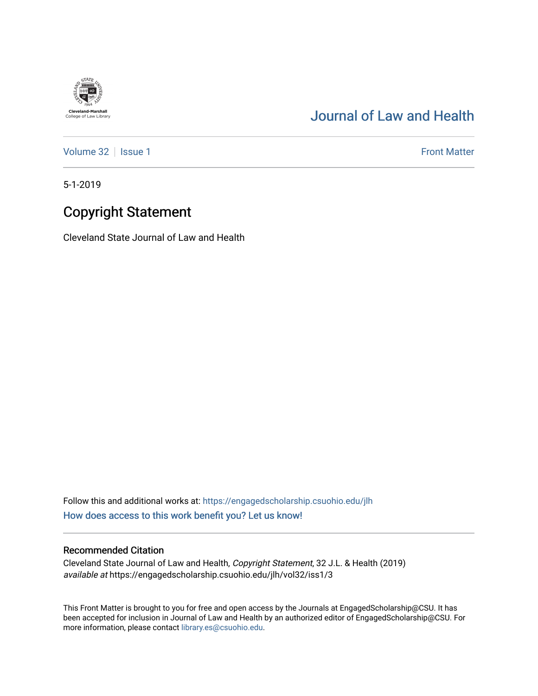## [Journal of Law and Health](https://engagedscholarship.csuohio.edu/jlh)

[Volume 32](https://engagedscholarship.csuohio.edu/jlh/vol32) | [Issue 1](https://engagedscholarship.csuohio.edu/jlh/vol32/iss1) Front Matter

5-1-2019

**Cleveland-Marshall**<br>College of Law Library

## Copyright Statement

Cleveland State Journal of Law and Health

Follow this and additional works at: [https://engagedscholarship.csuohio.edu/jlh](https://engagedscholarship.csuohio.edu/jlh?utm_source=engagedscholarship.csuohio.edu%2Fjlh%2Fvol32%2Fiss1%2F3&utm_medium=PDF&utm_campaign=PDFCoverPages)  [How does access to this work benefit you? Let us know!](http://library.csuohio.edu/engaged/)

## Recommended Citation

Cleveland State Journal of Law and Health, Copyright Statement, 32 J.L. & Health (2019) available at https://engagedscholarship.csuohio.edu/jlh/vol32/iss1/3

This Front Matter is brought to you for free and open access by the Journals at EngagedScholarship@CSU. It has been accepted for inclusion in Journal of Law and Health by an authorized editor of EngagedScholarship@CSU. For more information, please contact [library.es@csuohio.edu](mailto:library.es@csuohio.edu).